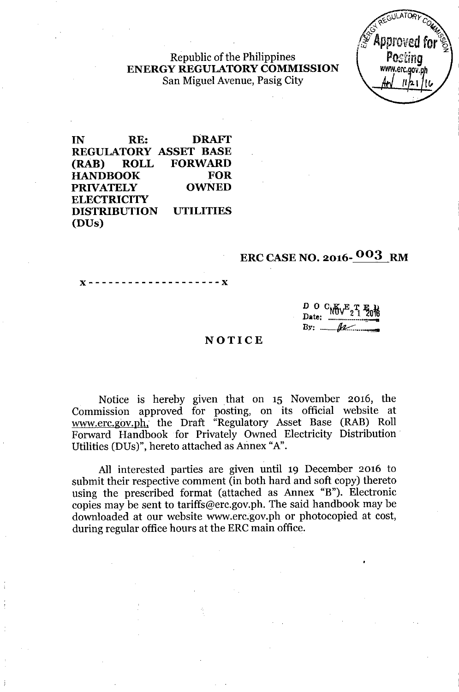## Republic of the Philippines ENERGY REGULATORYCOMMISSION San Miguel Avenue, Pasig City

IN RE: DRAFf REGULATORY ASSET BASE (RAB) ROLL FORWARD HANDBOOK FOR PRIVATELY OWNED **ELECTRICITY** DISTRIBUTION UTILITIES (DUs)

## ERC CASE NO. 2016- 003 RM

 $- - X$ x--------------------x

> $D_{U}$   $C_{W}$  $C_{V}$  $T_{2}$  $T_{3}$  $T_{6}$ <br>Date:  $T_{1}$ By; *Jtc.::- ...-*

## NOTICE

Notice is hereby given that on 15 November 2016, the Commission approved for posting, on its official website at [www.erc.gov.ph.](http://www.erc.gov.ph.) the Draft "Regulatory Asset Base (RAB) Roll Forward Handbook for Privately Owned Electricity Distribution. Utilities (DUs)", hereto attached as Annex "A".

All interested parties are given until 19 December 2016 to submit their respective comment (in both hard and soft copy) thereto using the prescribed format (attached as Annex "B"). Electronic copies may be sent to [tariffs@erc.gov.ph.](mailto:tariffs@erc.gov.ph.) The said handbook may be downloaded at our website [www.erc.gov.ph](http://www.erc.gov.ph) or photocopied at cost, during regular office hours at the ERC main office.